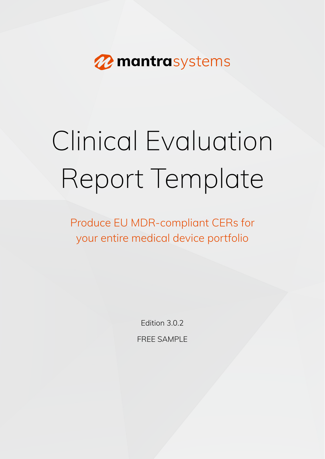<span id="page-0-34"></span><span id="page-0-31"></span><span id="page-0-30"></span><span id="page-0-28"></span><span id="page-0-25"></span><span id="page-0-24"></span><span id="page-0-19"></span><span id="page-0-18"></span><span id="page-0-16"></span><span id="page-0-14"></span><span id="page-0-13"></span><span id="page-0-11"></span><span id="page-0-9"></span><span id="page-0-8"></span><span id="page-0-6"></span><span id="page-0-3"></span><span id="page-0-0"></span>

# <span id="page-0-36"></span><span id="page-0-20"></span><span id="page-0-5"></span><span id="page-0-1"></span>Clinical Evaluation Report Template

<span id="page-0-35"></span><span id="page-0-29"></span><span id="page-0-26"></span><span id="page-0-21"></span><span id="page-0-17"></span><span id="page-0-12"></span><span id="page-0-10"></span><span id="page-0-7"></span><span id="page-0-4"></span><span id="page-0-2"></span>Produce EU MDR-compliant CERs for your entire medical device portfolio

> <span id="page-0-33"></span><span id="page-0-32"></span><span id="page-0-27"></span><span id="page-0-23"></span><span id="page-0-22"></span><span id="page-0-15"></span>Edition 3.0.2 FRFF SAMPLE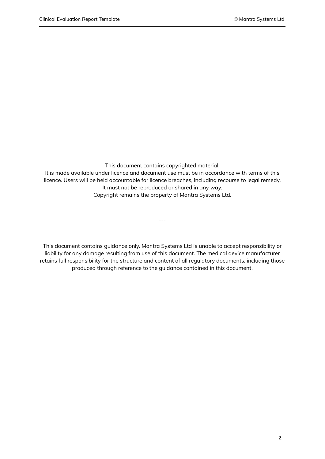This document contains copyrighted material.

It is made available under licence and document use must be in accordance with terms of this licence. Users will be held accountable for licence breaches, including recourse to legal remedy. It must not be reproduced or shared in any way.

Copyright remains the property of Mantra Systems Ltd.

---

This document contains guidance only. Mantra Systems Ltd is unable to accept responsibility or liability for any damage resulting from use of this document. The medical device manufacturer retains full responsibility for the structure and content of all regulatory documents, including those produced through reference to the guidance contained in this document.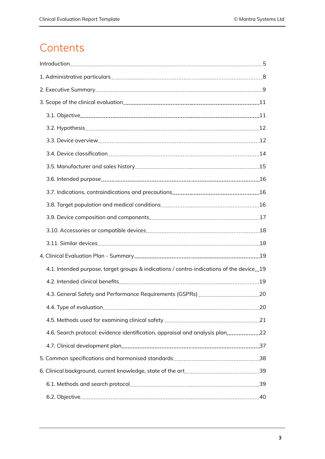# **Contents**

| 3.1. Objective 11                                                                       |  |
|-----------------------------------------------------------------------------------------|--|
|                                                                                         |  |
|                                                                                         |  |
|                                                                                         |  |
|                                                                                         |  |
|                                                                                         |  |
|                                                                                         |  |
|                                                                                         |  |
|                                                                                         |  |
|                                                                                         |  |
|                                                                                         |  |
|                                                                                         |  |
| 4.1. Intended purpose, target groups & indications / contra-indications of the device19 |  |
|                                                                                         |  |
|                                                                                         |  |
|                                                                                         |  |
|                                                                                         |  |
|                                                                                         |  |
|                                                                                         |  |
|                                                                                         |  |
|                                                                                         |  |
|                                                                                         |  |
|                                                                                         |  |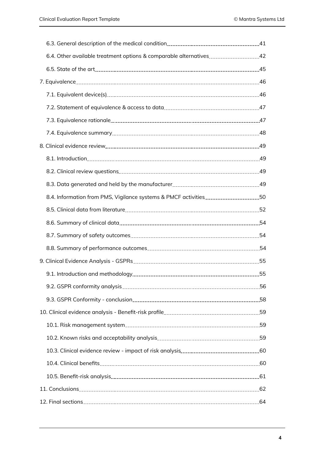| 7.2. Statement of equivalence & access to data <b>contract to the example of the statement</b> 47                                                                                                                                    |  |
|--------------------------------------------------------------------------------------------------------------------------------------------------------------------------------------------------------------------------------------|--|
|                                                                                                                                                                                                                                      |  |
|                                                                                                                                                                                                                                      |  |
| 8. Clinical evidence review 29 and 200 million and 200 million and 200 million and 200 million and 200 million                                                                                                                       |  |
|                                                                                                                                                                                                                                      |  |
| 8.2. Clinical review questions <b>manually and the contract of the contract of the contract of the contract of the contract of the contract of the contract of the contract of the contract of the contract of the contract of t</b> |  |
| 8.3. Data generated and held by the manufacturer <b>manufacturer</b> 49                                                                                                                                                              |  |
|                                                                                                                                                                                                                                      |  |
|                                                                                                                                                                                                                                      |  |
|                                                                                                                                                                                                                                      |  |
|                                                                                                                                                                                                                                      |  |
|                                                                                                                                                                                                                                      |  |
|                                                                                                                                                                                                                                      |  |
|                                                                                                                                                                                                                                      |  |
|                                                                                                                                                                                                                                      |  |
|                                                                                                                                                                                                                                      |  |
|                                                                                                                                                                                                                                      |  |
|                                                                                                                                                                                                                                      |  |
| 10.2. Known risks and acceptability analysis <b>contained a manufacture of the set of the set of the set of the s</b>                                                                                                                |  |
|                                                                                                                                                                                                                                      |  |
|                                                                                                                                                                                                                                      |  |
|                                                                                                                                                                                                                                      |  |
|                                                                                                                                                                                                                                      |  |
|                                                                                                                                                                                                                                      |  |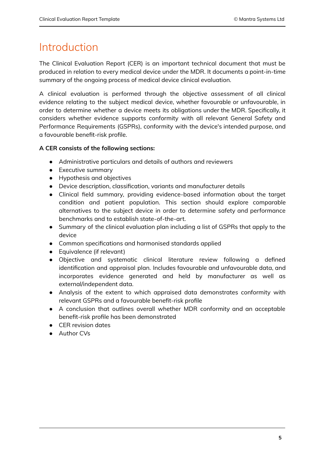# <span id="page-4-0"></span>Introduction

The Clinical Evaluation Report (CER) is an important technical document that must be produced in relation to every medical device under the MDR. It documents a point-in-time summary of the ongoing process of medical device clinical evaluation.

A clinical evaluation is performed through the objective assessment of all clinical evidence relating to the subject medical device, whether favourable or unfavourable, in order to determine whether a device meets its obligations under the MDR. Specifically, it considers whether evidence supports conformity with all relevant General Safety and Performance Requirements (GSPRs), conformity with the device's intended purpose, and a favourable benefit-risk profile.

# **A CER consists of the following sections:**

- Administrative particulars and details of authors and reviewers
- Executive summary
- Hypothesis and objectives
- Device description, classification, variants and manufacturer details
- Clinical field summary, providing evidence-based information about the target condition and patient population. This section should explore comparable alternatives to the subject device in order to determine safety and performance benchmarks and to establish state-of-the-art.
- Summary of the clinical evaluation plan including a list of GSPRs that apply to the device
- Common specifications and harmonised standards applied
- Equivalence (if relevant)
- Objective and systematic clinical literature review following a defined identification and appraisal plan. Includes favourable and unfavourable data, and incorporates evidence generated and held by manufacturer as well as external/independent data.
- Analysis of the extent to which appraised data demonstrates conformity with relevant GSPRs and a favourable benefit-risk profile
- A conclusion that outlines overall whether MDR conformity and an acceptable benefit-risk profile has been demonstrated
- CER revision dates
- Author CVs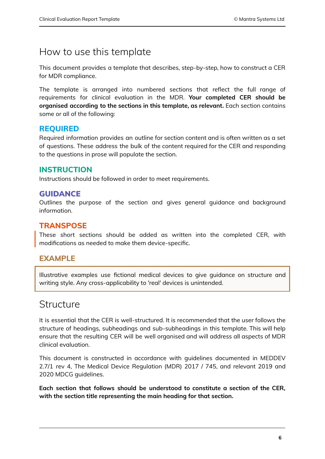# How to use this template

This document provides a template that describes, step-by-step, how to construct a CER for MDR compliance.

The template is arranged into numbered sections that reflect the full range of requirements for clinical evaluation in the MDR. **Your completed CER should be organised according to the sections in this template, as relevant.** Each section contains some or all of the following:

# **REQUIRED**

Required information provides an outline for section content and is often written as a set of questions. These address the bulk of the content required for the CER and responding to the questions in prose will populate the section.

# **INSTRUCTION**

Instructions should be followed in order to meet requirements.

# **GUIDANCE**

Outlines the purpose of the section and gives general guidance and background information.

# **TRANSPOSE**

These short sections should be added as written into the completed CER, with modifications as needed to make them device-specific.

# **EXAMPLE**

Illustrative examples use fictional medical devices to give guidance on structure and writing style. Any cross-applicability to 'real' devices is unintended.

# **Structure**

It is essential that the CER is well-structured. It is recommended that the user follows the structure of headings, subheadings and sub-subheadings in this template. This will help ensure that the resulting CER will be well organised and will address all aspects of MDR clinical evaluation.

This document is constructed in accordance with guidelines documented in MEDDEV 2.7/1 rev 4, The Medical Device Regulation (MDR) 2017 / 745, and relevant 2019 and 2020 MDCG guidelines.

**Each section that follows should be understood to constitute a section of the CER, with the section title representing the main heading for that section.**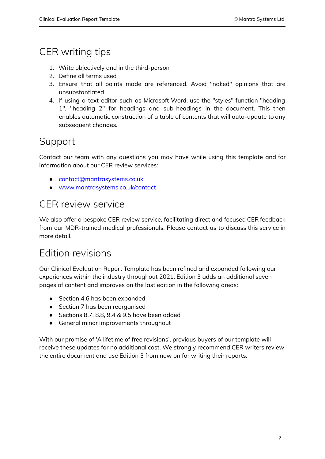# CER writing tips

- 1. Write objectively and in the third-person
- 2. Define all terms used
- 3. Ensure that all points made are referenced. Avoid "naked" opinions that are unsubstantiated
- 4. If using a text editor such as Microsoft Word, use the "styles" function "heading 1", "heading 2" for headings and sub-headings in the document. This then enables automatic construction of a table of contents that will auto-update to any subsequent changes.

# Support

Contact our team with any questions you may have while using this template and for information about our CER review services:

- [contact@mantrasystems.co.uk](mailto:contact@mantrasystems.co.uk)
- [www.mantrasystems.co.uk/contact](https://www.mantrasystems.co.uk/contact)

# CER review service

We also offer a bespoke CER review service, facilitating direct and focused CER feedback from our MDR-trained medical professionals. Please contact us to discuss this service in more detail.

# Edition revisions

Our Clinical Evaluation Report Template has been refined and expanded following our experiences within the industry throughout 2021. Edition 3 adds an additional seven pages of content and improves on the last edition in the following areas:

- Section 4.6 has been expanded
- Section 7 has been reorganised
- Sections 8.7, 8.8, 9.4 & 9.5 have been added
- General minor improvements throughout

With our promise of 'A lifetime of free revisions', previous buyers of our template will receive these updates for no additional cost. We strongly recommend CER writers review the entire document and use Edition 3 from now on for writing their reports.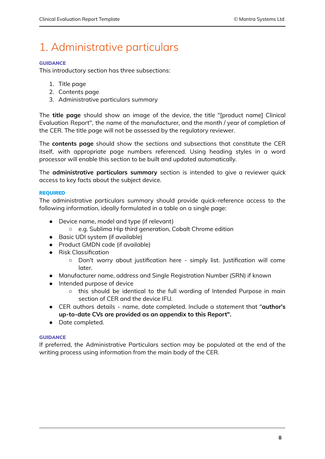# <span id="page-7-0"></span>1. Administrative particulars

# **GUIDANCE**

This introductory section has three subsections:

- 1. Title page
- 2. Contents page
- 3. Administrative particulars summary

The **title page** should show an image of the device, the title "[product name] Clinical Evaluation Report", the name of the manufacturer, and the month / year of completion of the CER. The title page will not be assessed by the regulatory reviewer.

The **contents page** should show the sections and subsections that constitute the CER itself, with appropriate page numbers referenced. Using heading styles in a word processor will enable this section to be built and updated automatically.

The **administrative particulars summary** section is intended to give a reviewer quick access to key facts about the subject device.

# REQUIRED

The administrative particulars summary should provide quick-reference access to the following information, ideally formulated in a table on a single page:

- Device name, model and type (if relevant)
	- e.g. Sublima Hip third generation, Cobalt Chrome edition
- Basic UDI system (if available)
- Product GMDN code (if available)
- Risk Classification
	- Don't worry about justification here simply list. Justification will come later.
- Manufacturer name, address and Single Registration Number (SRN) if known
- Intended purpose of device
	- this should be identical to the full wording of Intended Purpose in main section of CER and the device IFU.
- CER authors details name, date completed. Include a statement that "**author's up-to-date CVs are provided as an appendix to this Report".**
- Date completed.

# **GUIDANCE**

If preferred, the Administrative Particulars section may be populated at the end of the writing process using information from the main body of the CER.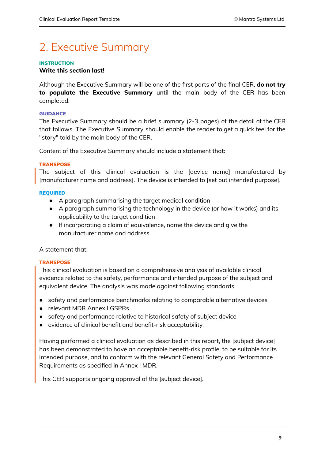# <span id="page-8-0"></span>2. Executive Summary

# **INSTRUCTION**

# **Write this section last!**

Although the Executive Summary will be one of the first parts of the final CER, **do not try to populate the Executive Summary** until the main body of the CER has been completed.

# **GUIDANCE**

The Executive Summary should be a brief summary (2-3 pages) of the detail of the CER that follows. The Executive Summary should enable the reader to get a quick feel for the "story" told by the main body of the CER.

Content of the Executive Summary should include a statement that:

# **TRANSPOSE**

The subject of this clinical evaluation is the [device name] manufactured by [manufacturer name and address]. The device is intended to [set out intended purpose].

# REQUIRED

- A paragraph summarising the target medical condition
- A paragraph summarising the technology in the device (or how it works) and its applicability to the target condition
- If incorporating a claim of equivalence, name the device and give the manufacturer name and address

A statement that:

### **TRANSPOSE**

This clinical evaluation is based on a comprehensive analysis of available clinical evidence related to the safety, performance and intended purpose of the subject and equivalent device. The analysis was made against following standards:

- safety and performance benchmarks relating to comparable alternative devices
- relevant MDR Annex I GSPRs
- safety and performance relative to historical safety of subject device
- evidence of clinical benefit and benefit-risk acceptability.

Having performed a clinical evaluation as described in this report, the [subject device] has been demonstrated to have an acceptable benefit-risk profile, to be suitable for its intended purpose, and to conform with the relevant General Safety and Performance Requirements as specified in Annex I MDR.

This CER supports ongoing approval of the [subject device].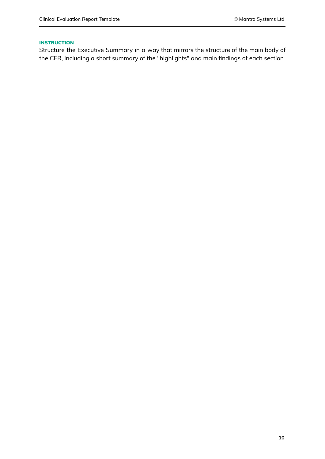#### **INSTRUCTION**

Structure the Executive Summary in a way that mirrors the structure of the main body of the CER, including a short summary of the "highlights" and main findings of each section.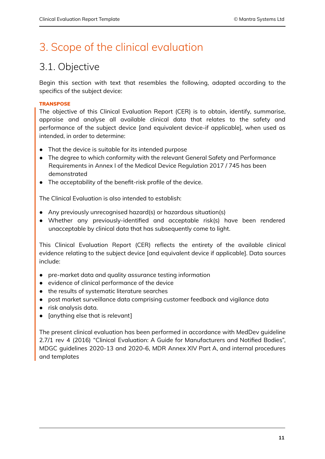# <span id="page-10-0"></span>3. Scope of the clinical evaluation

# <span id="page-10-1"></span>3.1. Objective

Begin this section with text that resembles the following, adapted according to the specifics of the subject device:

# **TRANSPOSE**

The objective of this Clinical Evaluation Report (CER) is to obtain, identify, summarise, appraise and analyse all available clinical data that relates to the safety and performance of the subject device [and equivalent device-if applicable], when used as intended, in order to determine:

- That the device is suitable for its intended purpose
- The degree to which conformity with the relevant General Safety and Performance Requirements in Annex I of the Medical Device Regulation 2017 / 745 has been demonstrated
- The acceptability of the benefit-risk profile of the device.

The Clinical Evaluation is also intended to establish:

- Any previously unrecognised hazard(s) or hazardous situation(s)
- Whether any previously-identified and acceptable risk(s) have been rendered unacceptable by clinical data that has subsequently come to light.

This Clinical Evaluation Report (CER) reflects the entirety of the available clinical evidence relating to the subject device [and equivalent device if applicable]. Data sources include:

- pre-market data and quality assurance testing information
- evidence of clinical performance of the device
- the results of systematic literature searches
- post market surveillance data comprising customer feedback and vigilance data
- risk analysis data.
- [anything else that is relevant]

The present clinical evaluation has been performed in accordance with MedDev guideline 2.7/1 rev 4 (2016) "Clinical Evaluation: A Guide for Manufacturers and Notified Bodies", MDGC guidelines 2020-13 and 2020-6, MDR Annex XIV Part A, and internal procedures and templates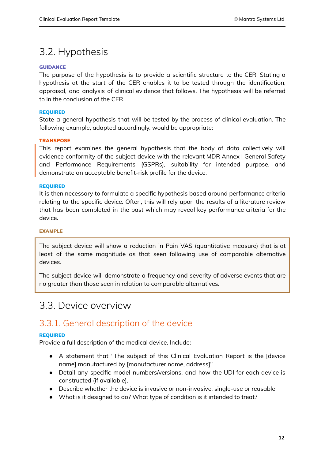# <span id="page-11-0"></span>3.2. Hypothesis

# **GUIDANCE**

The purpose of the hypothesis is to provide a scientific structure to the CER. Stating a hypothesis at the start of the CER enables it to be tested through the identification, appraisal, and analysis of clinical evidence that follows. The hypothesis will be referred to in the conclusion of the CER.

### REQUIRED

State a general hypothesis that will be tested by the process of clinical evaluation. The following example, adapted accordingly, would be appropriate:

# **TRANSPOSE**

This report examines the general hypothesis that the body of data collectively will evidence conformity of the subject device with the relevant MDR Annex I General Safety and Performance Requirements (GSPRs), suitability for intended purpose, and demonstrate an acceptable benefit-risk profile for the device.

### REQUIRED

It is then necessary to formulate a specific hypothesis based around performance criteria relating to the specific device. Often, this will rely upon the results of a literature review that has been completed in the past which may reveal key performance criteria for the device.

### EXAMPLE

The subject device will show a reduction in Pain VAS (quantitative measure) that is at least of the same magnitude as that seen following use of comparable alternative devices.

The subject device will demonstrate a frequency and severity of adverse events that are no greater than those seen in relation to comparable alternatives.

# <span id="page-11-1"></span>3.3. Device overview

# 3.3.1. General description of the device

### REQUIRED

Provide a full description of the medical device. Include:

- A statement that "The subject of this Clinical Evaluation Report is the [device name] manufactured by [manufacturer name, address]"
- Detail any specific model numbers/versions, and how the UDI for each device is constructed (if available).
- Describe whether the device is invasive or non-invasive, single-use or reusable
- What is it designed to do? What type of condition is it intended to treat?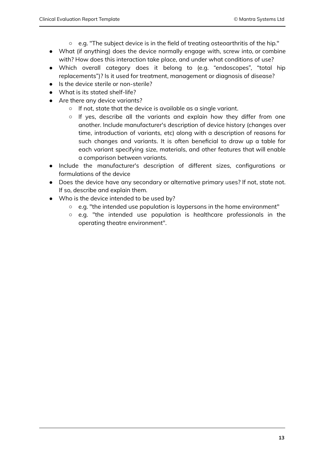- e.g. "The subject device is in the field of treating osteoarthritis of the hip."
- What (if anything) does the device normally engage with, screw into, or combine with? How does this interaction take place, and under what conditions of use?
- Which overall category does it belong to (e.g. "endoscopes", "total hip replacements")? Is it used for treatment, management or diagnosis of disease?
- Is the device sterile or non-sterile?
- What is its stated shelf-life?
- Are there any device variants?
	- If not, state that the device is available as a single variant.
	- If yes, describe all the variants and explain how they differ from one another. Include manufacturer's description of device history (changes over time, introduction of variants, etc) along with a description of reasons for such changes and variants. It is often beneficial to draw up a table for each variant specifying size, materials, and other features that will enable a comparison between variants.
- Include the manufacturer's description of different sizes, configurations or formulations of the device
- Does the device have any secondary or alternative primary uses? If not, state not. If so, describe and explain them.
- Who is the device intended to be used by?
	- e.g. "the intended use population is laypersons in the home environment"
	- e.g. "the intended use population is healthcare professionals in the operating theatre environment".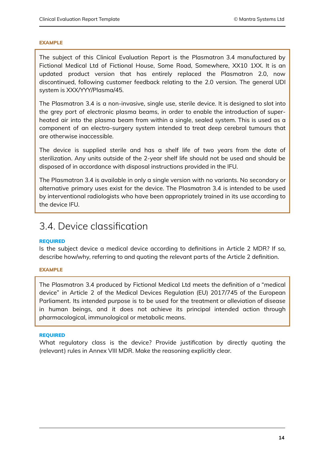### EXAMPLE

The subject of this Clinical Evaluation Report is the Plasmatron 3.4 manufactured by Fictional Medical Ltd of Fictional House, Some Road, Somewhere, XX10 1XX. It is an updated product version that has entirely replaced the Plasmatron 2.0, now discontinued, following customer feedback relating to the 2.0 version. The general UDI system is XXX/YYY/Plasma/45.

The Plasmatron 3.4 is a non-invasive, single use, sterile device. It is designed to slot into the grey port of electronic plasma beams, in order to enable the introduction of superheated air into the plasma beam from within a single, sealed system. This is used as a component of an electro-surgery system intended to treat deep cerebral tumours that are otherwise inaccessible.

The device is supplied sterile and has a shelf life of two years from the date of sterilization. Any units outside of the 2-year shelf life should not be used and should be disposed of in accordance with disposal instructions provided in the IFU.

The Plasmatron 3.4 is available in only a single version with no variants. No secondary or alternative primary uses exist for the device. The Plasmatron 3.4 is intended to be used by interventional radiologists who have been appropriately trained in its use according to the device IFU.

# <span id="page-13-0"></span>3.4. Device classification

### REQUIRED

Is the subject device a medical device according to definitions in Article 2 MDR? If so, describe how/why, referring to and quoting the relevant parts of the Article 2 definition.

### EXAMPLE

The Plasmatron 3.4 produced by Fictional Medical Ltd meets the definition of a "medical device" in Article 2 of the Medical Devices Regulation (EU) 2017/745 of the European Parliament. Its intended purpose is to be used for the treatment or alleviation of disease in human beings, and it does not achieve its principal intended action through pharmacological, immunological or metabolic means.

#### REQUIRED

What regulatory class is the device? Provide justification by directly quoting the (relevant) rules in Annex VIII MDR. Make the reasoning explicitly clear.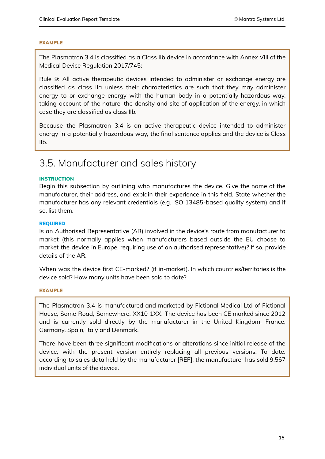#### EXAMPLE

The Plasmatron 3.4 is classified as a Class IIb device in accordance with Annex VIII of the Medical Device Regulation 2017/745:

Rule 9: All active therapeutic devices intended to administer or exchange energy are classified as class IIa unless their characteristics are such that they may administer energy to or exchange energy with the human body in a potentially hazardous way, taking account of the nature, the density and site of application of the energy, in which case they are classified as class IIb.

Because the Plasmatron 3.4 is an active therapeutic device intended to administer energy in a potentially hazardous way, the final sentence applies and the device is Class IIb.

# <span id="page-14-0"></span>3.5. Manufacturer and sales history

#### **INSTRUCTION**

Begin this subsection by outlining who manufactures the device. Give the name of the manufacturer, their address, and explain their experience in this field. State whether the manufacturer has any relevant credentials (e.g. ISO 13485-based quality system) and if so, list them.

#### REQUIRED

Is an Authorised Representative (AR) involved in the device's route from manufacturer to market (this normally applies when manufacturers based outside the EU choose to market the device in Europe, requiring use of an authorised representative)? If so, provide details of the AR.

When was the device first CE-marked? (if in-market). In which countries/territories is the device sold? How many units have been sold to date?

#### EXAMPLE

The Plasmatron 3.4 is manufactured and marketed by Fictional Medical Ltd of Fictional House, Some Road, Somewhere, XX10 1XX. The device has been CE marked since 2012 and is currently sold directly by the manufacturer in the United Kingdom, France, Germany, Spain, Italy and Denmark.

There have been three significant modifications or alterations since initial release of the device, with the present version entirely replacing all previous versions. To date, according to sales data held by the manufacturer [REF], the manufacturer has sold 9,567 individual units of the device.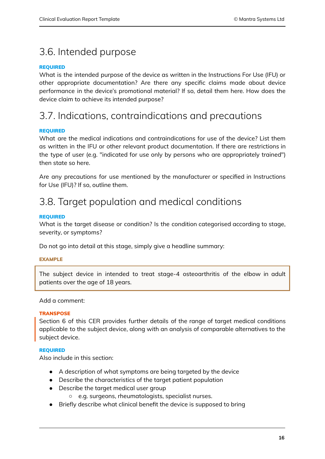# <span id="page-15-0"></span>3.6. Intended purpose

# REQUIRED

What is the intended purpose of the device as written in the Instructions For Use (IFU) or other appropriate documentation? Are there any specific claims made about device performance in the device's promotional material? If so, detail them here. How does the device claim to achieve its intended purpose?

# 3.7. Indications, contraindications and precautions

# <span id="page-15-1"></span>REQUIRED

What are the medical indications and contraindications for use of the device? List them as written in the IFU or other relevant product documentation. If there are restrictions in the type of user (e.g. "indicated for use only by persons who are appropriately trained") then state so here.

Are any precautions for use mentioned by the manufacturer or specified in Instructions for Use (IFU)? If so, outline them.

# <span id="page-15-2"></span>3.8. Target population and medical conditions

### REQUIRED

What is the target disease or condition? Is the condition categorised according to stage, severity, or symptoms?

Do not go into detail at this stage, simply give a headline summary:

# EXAMPLE

The subject device in intended to treat stage-4 osteoarthritis of the elbow in adult patients over the age of 18 years.

### Add a comment:

### **TRANSPOSE**

Section 6 of this CER provides further details of the range of target medical conditions applicable to the subject device, along with an analysis of comparable alternatives to the subject device.

### REQUIRED

Also include in this section:

- A description of what symptoms are being targeted by the device
- Describe the characteristics of the target patient population
- Describe the target medical user group
	- e.g. surgeons, rheumatologists, specialist nurses.
- Briefly describe what clinical benefit the device is supposed to bring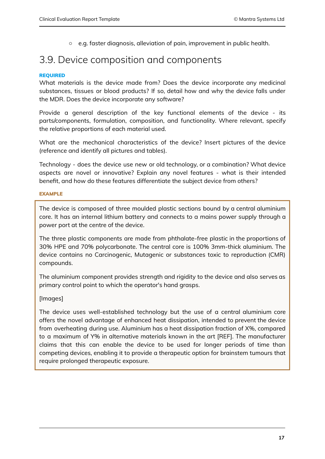<span id="page-16-0"></span>○ e.g. faster diagnosis, alleviation of pain, improvement in public health.

# 3.9. Device composition and components

# REQUIRED

What materials is the device made from? Does the device incorporate any medicinal substances, tissues or blood products? If so, detail how and why the device falls under the MDR. Does the device incorporate any software?

Provide a general description of the key functional elements of the device - its parts/components, formulation, composition, and functionality. Where relevant, specify the relative proportions of each material used.

What are the mechanical characteristics of the device? Insert pictures of the device (reference and identify all pictures and tables).

Technology - does the device use new or old technology, or a combination? What device aspects are novel or innovative? Explain any novel features - what is their intended benefit, and how do these features differentiate the subject device from others?

### EXAMPLE

The device is composed of three moulded plastic sections bound by a central aluminium core. It has an internal lithium battery and connects to a mains power supply through a power port at the centre of the device.

The three plastic components are made from phthalate-free plastic in the proportions of 30% HPE and 70% polycarbonate. The central core is 100% 3mm-thick aluminium. The device contains no Carcinogenic, Mutagenic or substances toxic to reproduction (CMR) compounds.

The aluminium component provides strength and rigidity to the device and also serves as primary control point to which the operator's hand grasps.

# [Images]

The device uses well-established technology but the use of a central aluminium core offers the novel advantage of enhanced heat dissipation, intended to prevent the device from overheating during use. Aluminium has a heat dissipation fraction of X%, compared to a maximum of Y% in alternative materials known in the art [REF]. The manufacturer claims that this can enable the device to be used for longer periods of time than competing devices, enabling it to provide a therapeutic option for brainstem tumours that require prolonged therapeutic exposure.